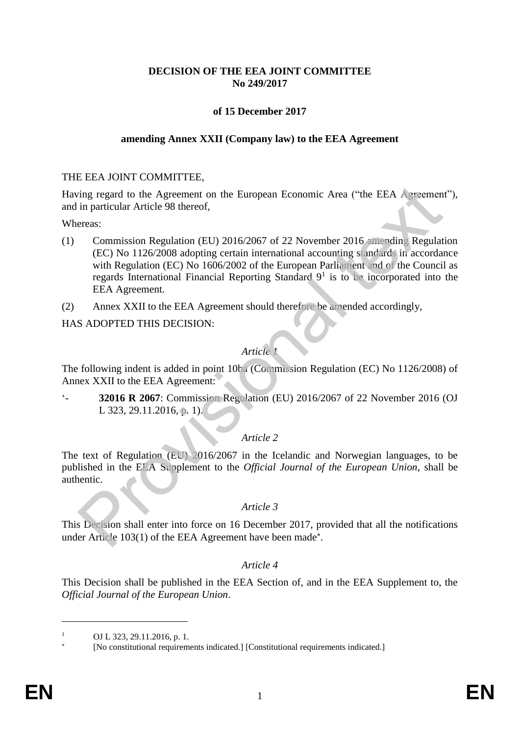# **DECISION OF THE EEA JOINT COMMITTEE No 249/2017**

# **of 15 December 2017**

#### **amending Annex XXII (Company law) to the EEA Agreement**

#### THE EEA JOINT COMMITTEE,

Having regard to the Agreement on the European Economic Area ("the EEA Agreement"), and in particular Article 98 thereof,

Whereas:

- (1) Commission Regulation (EU) 2016/2067 of 22 November 2016 amending Regulation (EC) No 1126/2008 adopting certain international accounting standards in accordance with Regulation (EC) No 1606/2002 of the European Parliament and of the Council as regards International Financial Reporting Standard  $9<sup>1</sup>$  is to be incorporated into the EEA Agreement. ing regard to the Agreement on the European Economic Area ("the EEA Agreement"<br>
commission Regulation (EU) 2016/2067 of 22 November 2016 and only Regulate (EC) No 1126/2008 adopting certain international accounting st nd
- (2) Annex XXII to the EEA Agreement should therefore be amended accordingly,

HAS ADOPTED THIS DECISION:

## *Article 1*

The following indent is added in point 10ba (Commission Regulation (EC) No 1126/2008) of Annex XXII to the EEA Agreement:

'- **32016 R 2067**: Commission Regulation (EU) 2016/2067 of 22 November 2016 (OJ L 323, 29.11.2016, p. 1).

## *Article 2*

The text of Regulation (EU) 2016/2067 in the Icelandic and Norwegian languages, to be published in the EEA Supplement to the *Official Journal of the European Union*, shall be authentic.

#### *Article 3*

This Decision shall enter into force on 16 December 2017, provided that all the notifications under Article 103(1) of the EEA Agreement have been made .

## *Article 4*

This Decision shall be published in the EEA Section of, and in the EEA Supplement to, the *Official Journal of the European Union*.

1

OJ L 323, 29.11.2016, p. 1.

<sup>×</sup> [No constitutional requirements indicated.] [Constitutional requirements indicated.]